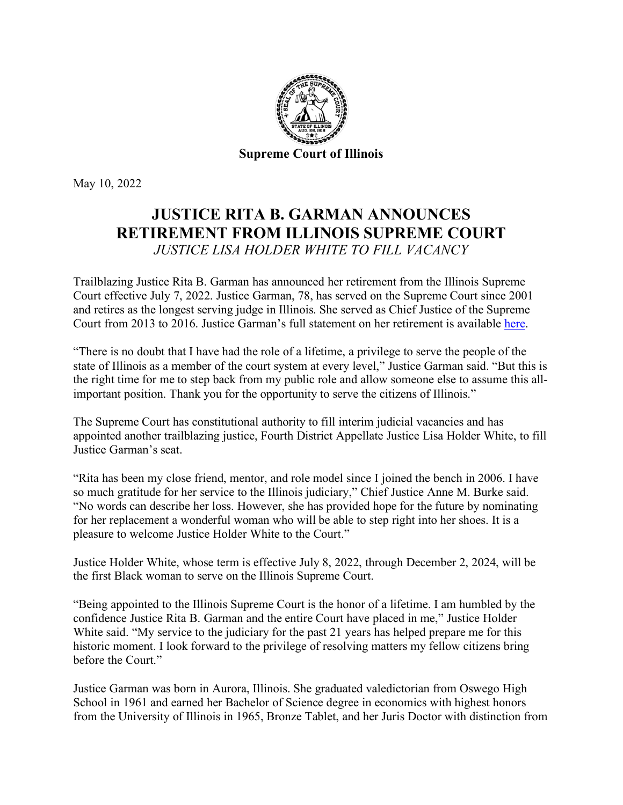

May 10, 2022

## **JUSTICE RITA B. GARMAN ANNOUNCES RETIREMENT FROM ILLINOIS SUPREME COURT**  *JUSTICE LISA HOLDER WHITE TO FILL VACANCY*

Trailblazing Justice Rita B. Garman has announced her retirement from the Illinois Supreme Court effective July 7, 2022. Justice Garman, 78, has served on the Supreme Court since 2001 and retires as the longest serving judge in Illinois. She served as Chief Justice of the Supreme Court from 2013 to 2016. Justice Garman's full statement on her retirement is available [here.](https://ilcourtsaudio.blob.core.windows.net/antilles-resources/resources/b05873be-ca36-48ef-b3ab-dc60a9e4aea3/Justice%20Garman%20Retirement.pdf)

"There is no doubt that I have had the role of a lifetime, a privilege to serve the people of the state of Illinois as a member of the court system at every level," Justice Garman said. "But this is the right time for me to step back from my public role and allow someone else to assume this allimportant position. Thank you for the opportunity to serve the citizens of Illinois."

The Supreme Court has constitutional authority to fill interim judicial vacancies and has appointed another trailblazing justice, Fourth District Appellate Justice Lisa Holder White, to fill Justice Garman's seat.

"Rita has been my close friend, mentor, and role model since I joined the bench in 2006. I have so much gratitude for her service to the Illinois judiciary," Chief Justice Anne M. Burke said. "No words can describe her loss. However, she has provided hope for the future by nominating for her replacement a wonderful woman who will be able to step right into her shoes. It is a pleasure to welcome Justice Holder White to the Court."

Justice Holder White, whose term is effective July 8, 2022, through December 2, 2024, will be the first Black woman to serve on the Illinois Supreme Court.

"Being appointed to the Illinois Supreme Court is the honor of a lifetime. I am humbled by the confidence Justice Rita B. Garman and the entire Court have placed in me," Justice Holder White said. "My service to the judiciary for the past 21 years has helped prepare me for this historic moment. I look forward to the privilege of resolving matters my fellow citizens bring before the Court."

Justice Garman was born in Aurora, Illinois. She graduated valedictorian from Oswego High School in 1961 and earned her Bachelor of Science degree in economics with highest honors from the University of Illinois in 1965, Bronze Tablet, and her Juris Doctor with distinction from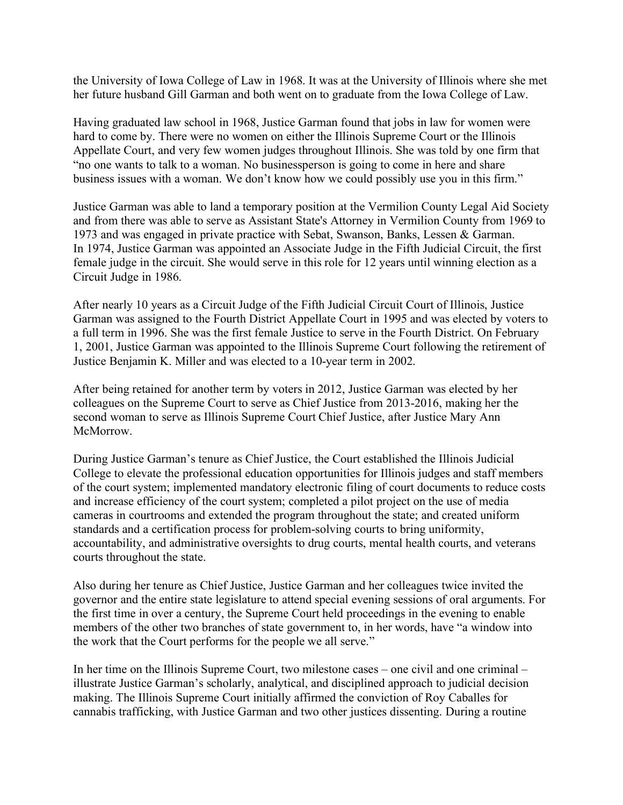the University of Iowa College of Law in 1968. It was at the University of Illinois where she met her future husband Gill Garman and both went on to graduate from the Iowa College of Law.

Having graduated law school in 1968, Justice Garman found that jobs in law for women were hard to come by. There were no women on either the Illinois Supreme Court or the Illinois Appellate Court, and very few women judges throughout Illinois. She was told by one firm that "no one wants to talk to a woman. No businessperson is going to come in here and share business issues with a woman. We don't know how we could possibly use you in this firm."

Justice Garman was able to land a temporary position at the Vermilion County Legal Aid Society and from there was able to serve as Assistant State's Attorney in Vermilion County from 1969 to 1973 and was engaged in private practice with Sebat, Swanson, Banks, Lessen & Garman. In 1974, Justice Garman was appointed an Associate Judge in the Fifth Judicial Circuit, the first female judge in the circuit. She would serve in this role for 12 years until winning election as a Circuit Judge in 1986.

After nearly 10 years as a Circuit Judge of the Fifth Judicial Circuit Court of Illinois, Justice Garman was assigned to the Fourth District Appellate Court in 1995 and was elected by voters to a full term in 1996. She was the first female Justice to serve in the Fourth District. On February 1, 2001, Justice Garman was appointed to the Illinois Supreme Court following the retirement of Justice Benjamin K. Miller and was elected to a 10-year term in 2002.

After being retained for another term by voters in 2012, Justice Garman was elected by her colleagues on the Supreme Court to serve as Chief Justice from 2013-2016, making her the second woman to serve as Illinois Supreme Court Chief Justice, after Justice Mary Ann McMorrow.

During Justice Garman's tenure as Chief Justice, the Court established the Illinois Judicial College to elevate the professional education opportunities for Illinois judges and staff members of the court system; implemented mandatory electronic filing of court documents to reduce costs and increase efficiency of the court system; completed a pilot project on the use of media cameras in courtrooms and extended the program throughout the state; and created uniform standards and a certification process for problem-solving courts to bring uniformity, accountability, and administrative oversights to drug courts, mental health courts, and veterans courts throughout the state.

Also during her tenure as Chief Justice, Justice Garman and her colleagues twice invited the governor and the entire state legislature to attend special evening sessions of oral arguments. For the first time in over a century, the Supreme Court held proceedings in the evening to enable members of the other two branches of state government to, in her words, have "a window into the work that the Court performs for the people we all serve."

In her time on the Illinois Supreme Court, two milestone cases – one civil and one criminal – illustrate Justice Garman's scholarly, analytical, and disciplined approach to judicial decision making. The Illinois Supreme Court initially affirmed the conviction of Roy Caballes for cannabis trafficking, with Justice Garman and two other justices dissenting. During a routine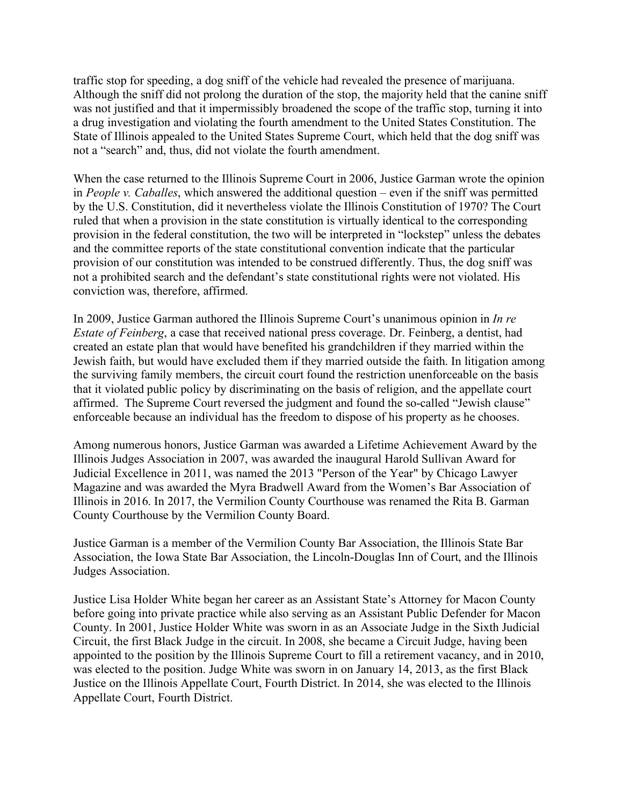traffic stop for speeding, a dog sniff of the vehicle had revealed the presence of marijuana. Although the sniff did not prolong the duration of the stop, the majority held that the canine sniff was not justified and that it impermissibly broadened the scope of the traffic stop, turning it into a drug investigation and violating the fourth amendment to the United States Constitution. The State of Illinois appealed to the United States Supreme Court, which held that the dog sniff was not a "search" and, thus, did not violate the fourth amendment.

When the case returned to the Illinois Supreme Court in 2006, Justice Garman wrote the opinion in *People v. Caballes*, which answered the additional question – even if the sniff was permitted by the U.S. Constitution, did it nevertheless violate the Illinois Constitution of 1970? The Court ruled that when a provision in the state constitution is virtually identical to the corresponding provision in the federal constitution, the two will be interpreted in "lockstep" unless the debates and the committee reports of the state constitutional convention indicate that the particular provision of our constitution was intended to be construed differently. Thus, the dog sniff was not a prohibited search and the defendant's state constitutional rights were not violated. His conviction was, therefore, affirmed.

In 2009, Justice Garman authored the Illinois Supreme Court's unanimous opinion in *In re Estate of Feinberg*, a case that received national press coverage. Dr. Feinberg, a dentist, had created an estate plan that would have benefited his grandchildren if they married within the Jewish faith, but would have excluded them if they married outside the faith. In litigation among the surviving family members, the circuit court found the restriction unenforceable on the basis that it violated public policy by discriminating on the basis of religion, and the appellate court affirmed. The Supreme Court reversed the judgment and found the so-called "Jewish clause" enforceable because an individual has the freedom to dispose of his property as he chooses.

Among numerous honors, Justice Garman was awarded a Lifetime Achievement Award by the Illinois Judges Association in 2007, was awarded the inaugural Harold Sullivan Award for Judicial Excellence in 2011, was named the 2013 "Person of the Year" by Chicago Lawyer Magazine and was awarded the Myra Bradwell Award from the Women's Bar Association of Illinois in 2016. In 2017, the Vermilion County Courthouse was renamed the Rita B. Garman County Courthouse by the Vermilion County Board.

Justice Garman is a member of the Vermilion County Bar Association, the Illinois State Bar Association, the Iowa State Bar Association, the Lincoln-Douglas Inn of Court, and the Illinois Judges Association.

Justice Lisa Holder White began her career as an Assistant State's Attorney for Macon County before going into private practice while also serving as an Assistant Public Defender for Macon County. In 2001, Justice Holder White was sworn in as an Associate Judge in the Sixth Judicial Circuit, the first Black Judge in the circuit. In 2008, she became a Circuit Judge, having been appointed to the position by the Illinois Supreme Court to fill a retirement vacancy, and in 2010, was elected to the position. Judge White was sworn in on January 14, 2013, as the first Black Justice on the Illinois Appellate Court, Fourth District. In 2014, she was elected to the Illinois Appellate Court, Fourth District.